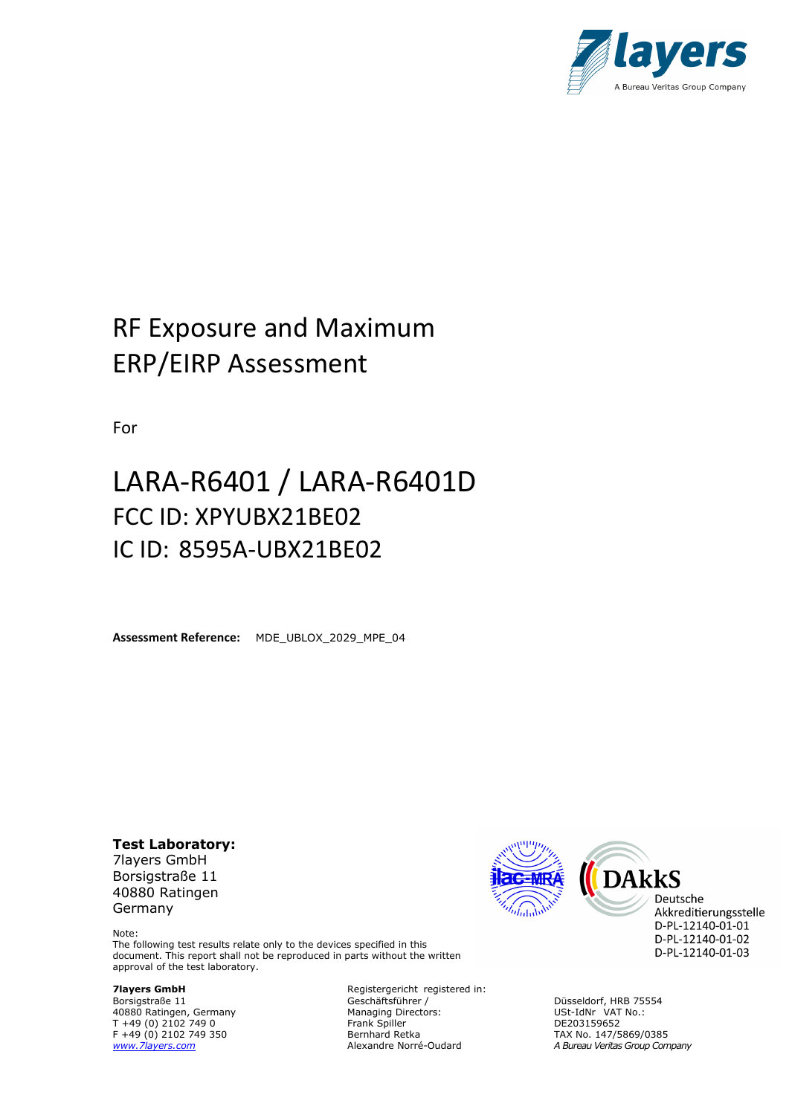

# RF Exposure and Maximum ERP/EIRP Assessment

For

# LARA-R6401 / LARA-R6401D FCC ID: XPYUBX21BE02 IC ID: 8595A-UBX21BE02

**Assessment Reference:** MDE\_UBLOX\_2029\_MPE\_04

**Test Laboratory:** 7layers GmbH Borsigstraße 11 40880 Ratingen Germany

**DAKKS** Deutsche

Akkreditierungsstelle D-PL-12140-01-01 D-PL-12140-01-02 D-PL-12140-01-03

Note: The following test results relate only to the devices specified in this document. This report shall not be reproduced in parts without the written approval of the test laboratory.

**7layers GmbH** Registergericht registered in:<br>Borsigstraße 11 description of Geschäftsführer / Substragence der Albert Constitution Constitution Constitution Düsseldorf, HRB 75554<br>Borsigstraße 11 Germany Geschäftsführer / Düsseldorf, HRB 75554<br>40880 Ratingen, Germany Managing Directors: USt-IdNr VAT No.: 40880 Ratingen, Germany Managing Directors: USt-IdNr VAT No.: T +49 (0) 2102 749 0 Frank Spiller DE203159652 F +49 (0) 2102 749 350 Bernhard Retka TAX No. 147/5869/0385<br>Www.Zlayers.com Connect Connect Abundance Norré-Oudard A Bureau Veritas Group Con

*[www.7layers.com](http://www.7layers.com/)* Alexandre Norré-Oudard *A Bureau Veritas Group Company*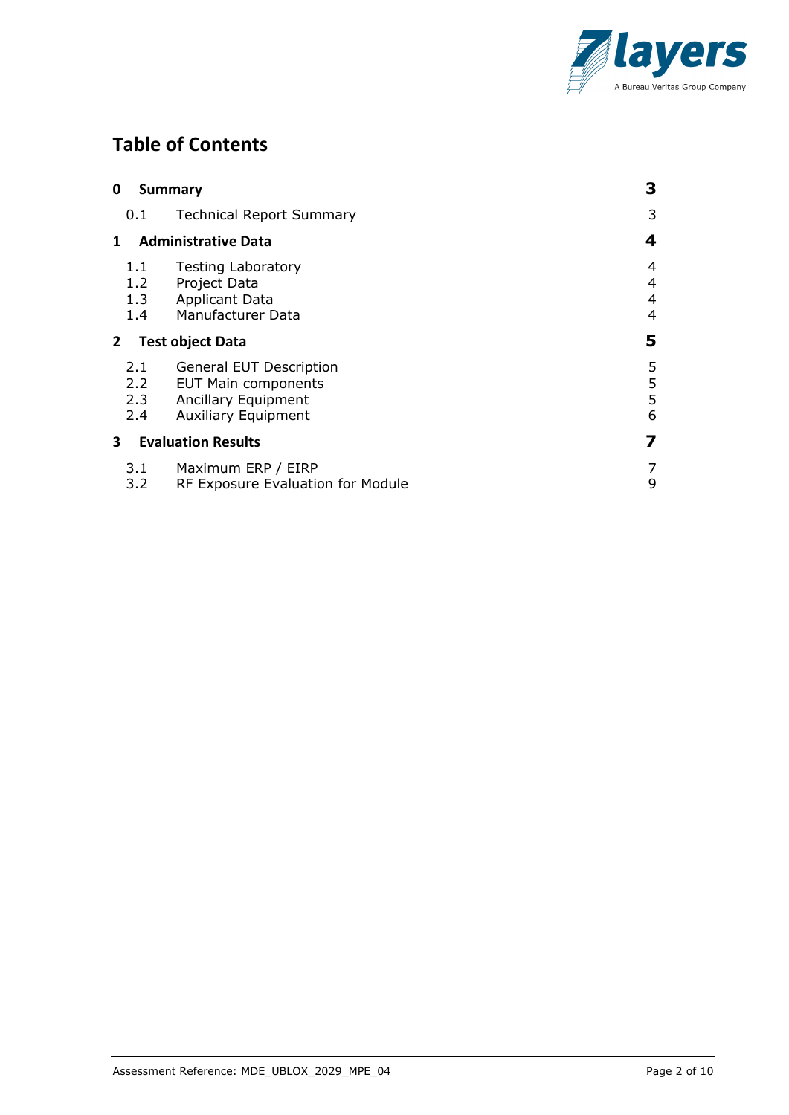

# **Table of Contents**

| 0            |                          | <b>Summary</b>                                                                                                    | 3                |
|--------------|--------------------------|-------------------------------------------------------------------------------------------------------------------|------------------|
|              | 0.1                      | <b>Technical Report Summary</b>                                                                                   | 3                |
| 1            |                          | <b>Administrative Data</b>                                                                                        | 4                |
|              | 1.1<br>1.2<br>1.3<br>1.4 | <b>Testing Laboratory</b><br>Project Data<br><b>Applicant Data</b><br>Manufacturer Data                           | 4<br>4<br>4<br>4 |
| $\mathbf{2}$ |                          | <b>Test object Data</b>                                                                                           | 5                |
|              | 2.1<br>2.2<br>2.3<br>2.4 | <b>General EUT Description</b><br><b>EUT Main components</b><br>Ancillary Equipment<br><b>Auxiliary Equipment</b> | 5<br>5<br>5<br>6 |
| 3            |                          | <b>Evaluation Results</b>                                                                                         | 7                |
|              | 3.1<br>3.2               | Maximum ERP / EIRP<br>RF Exposure Evaluation for Module                                                           | 7<br>9           |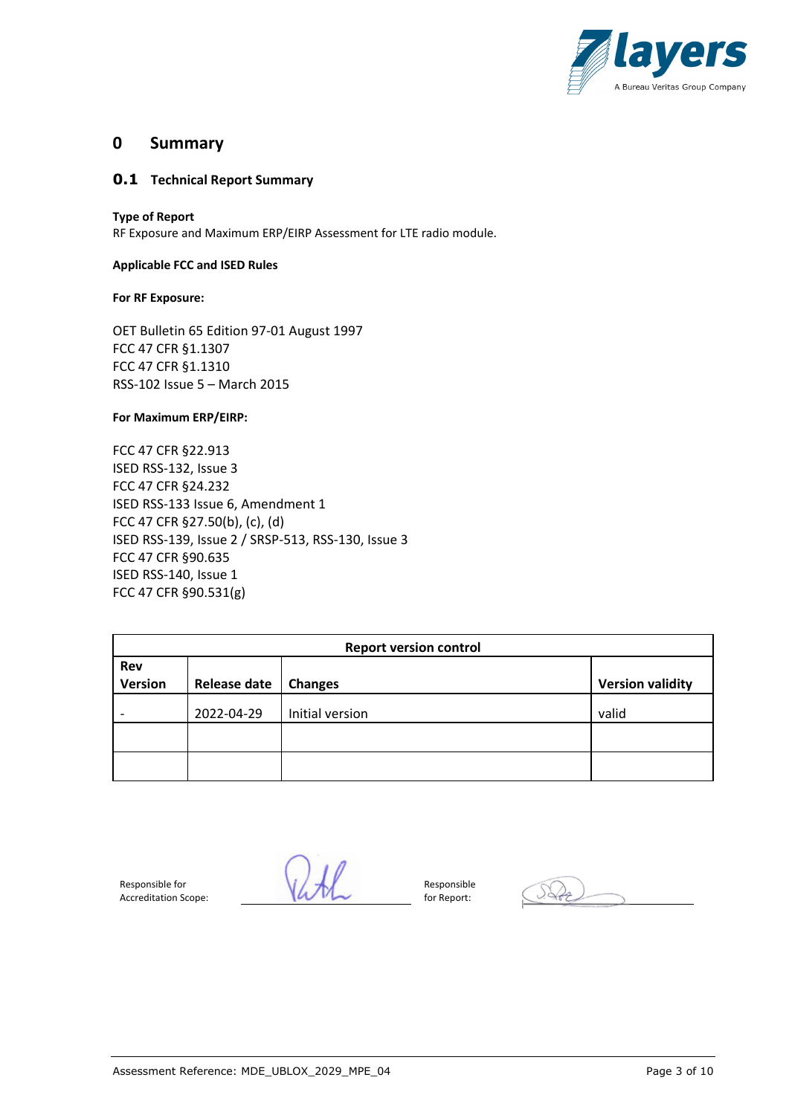

#### **0 Summary**

#### **0.1 Technical Report Summary**

#### **Type of Report**

RF Exposure and Maximum ERP/EIRP Assessment for LTE radio module.

#### **Applicable FCC and ISED Rules**

#### **For RF Exposure:**

OET Bulletin 65 Edition 97-01 August 1997 FCC 47 CFR §1.1307 FCC 47 CFR §1.1310 RSS-102 Issue 5 – March 2015

#### **For Maximum ERP/EIRP:**

FCC 47 CFR §22.913 ISED RSS-132, Issue 3 FCC 47 CFR §24.232 ISED RSS-133 Issue 6, Amendment 1 FCC 47 CFR §27.50(b), (c), (d) ISED RSS-139, Issue 2 / SRSP-513, RSS-130, Issue 3 FCC 47 CFR §90.635 ISED RSS-140, Issue 1 FCC 47 CFR §90.531(g)

| <b>Report version control</b> |                     |                 |                         |  |  |
|-------------------------------|---------------------|-----------------|-------------------------|--|--|
| Rev                           |                     |                 |                         |  |  |
| <b>Version</b>                | <b>Release date</b> | <b>Changes</b>  | <b>Version validity</b> |  |  |
| 2022-04-29                    |                     | Initial version | valid                   |  |  |
|                               |                     |                 |                         |  |  |
|                               |                     |                 |                         |  |  |

Responsible for Accreditation Scope:

 $ukl$ 

Responsible for Report: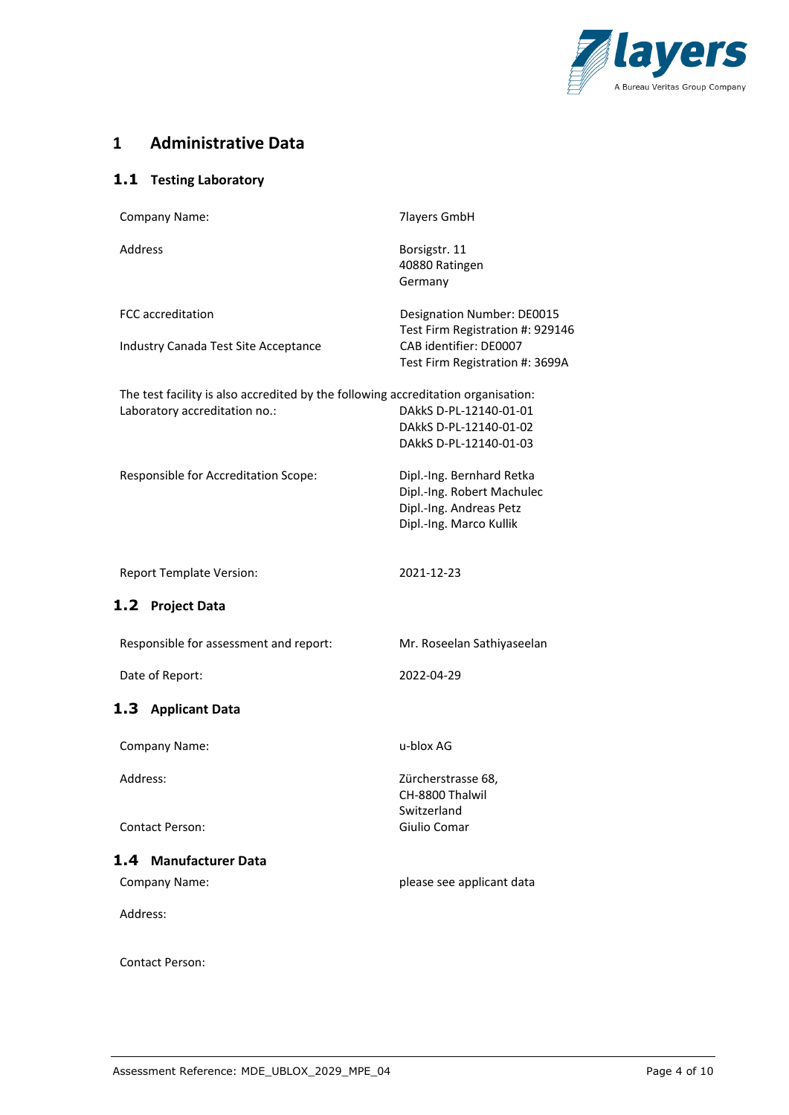

## **1 Administrative Data**

#### **1.1 Testing Laboratory**

| Company Name:                                                                                                      | <b>7layers GmbH</b>                                                                                           |
|--------------------------------------------------------------------------------------------------------------------|---------------------------------------------------------------------------------------------------------------|
| <b>Address</b>                                                                                                     | Borsigstr. 11<br>40880 Ratingen<br>Germany                                                                    |
| <b>FCC</b> accreditation                                                                                           | Designation Number: DE0015<br>Test Firm Registration #: 929146                                                |
| Industry Canada Test Site Acceptance                                                                               | CAB identifier: DE0007<br>Test Firm Registration #: 3699A                                                     |
| The test facility is also accredited by the following accreditation organisation:<br>Laboratory accreditation no.: | DAkkS D-PL-12140-01-01<br>DAkkS D-PL-12140-01-02<br>DAkkS D-PL-12140-01-03                                    |
| Responsible for Accreditation Scope:                                                                               | Dipl.-Ing. Bernhard Retka<br>Dipl.-Ing. Robert Machulec<br>Dipl.-Ing. Andreas Petz<br>Dipl.-Ing. Marco Kullik |
| <b>Report Template Version:</b>                                                                                    | 2021-12-23                                                                                                    |
| <b>Project Data</b><br>1.2                                                                                         |                                                                                                               |
| Responsible for assessment and report:                                                                             | Mr. Roseelan Sathiyaseelan                                                                                    |
| Date of Report:                                                                                                    | 2022-04-29                                                                                                    |
| 1.3<br><b>Applicant Data</b>                                                                                       |                                                                                                               |
| Company Name:                                                                                                      | u-blox AG                                                                                                     |
| Address:                                                                                                           | Zürcherstrasse 68,<br>CH-8800 Thalwil<br>Switzerland                                                          |
| <b>Contact Person:</b>                                                                                             | Giulio Comar                                                                                                  |
|                                                                                                                    |                                                                                                               |
| 1.4 Manufacturer Data                                                                                              |                                                                                                               |
| Company Name:                                                                                                      | please see applicant data                                                                                     |
| Address:                                                                                                           |                                                                                                               |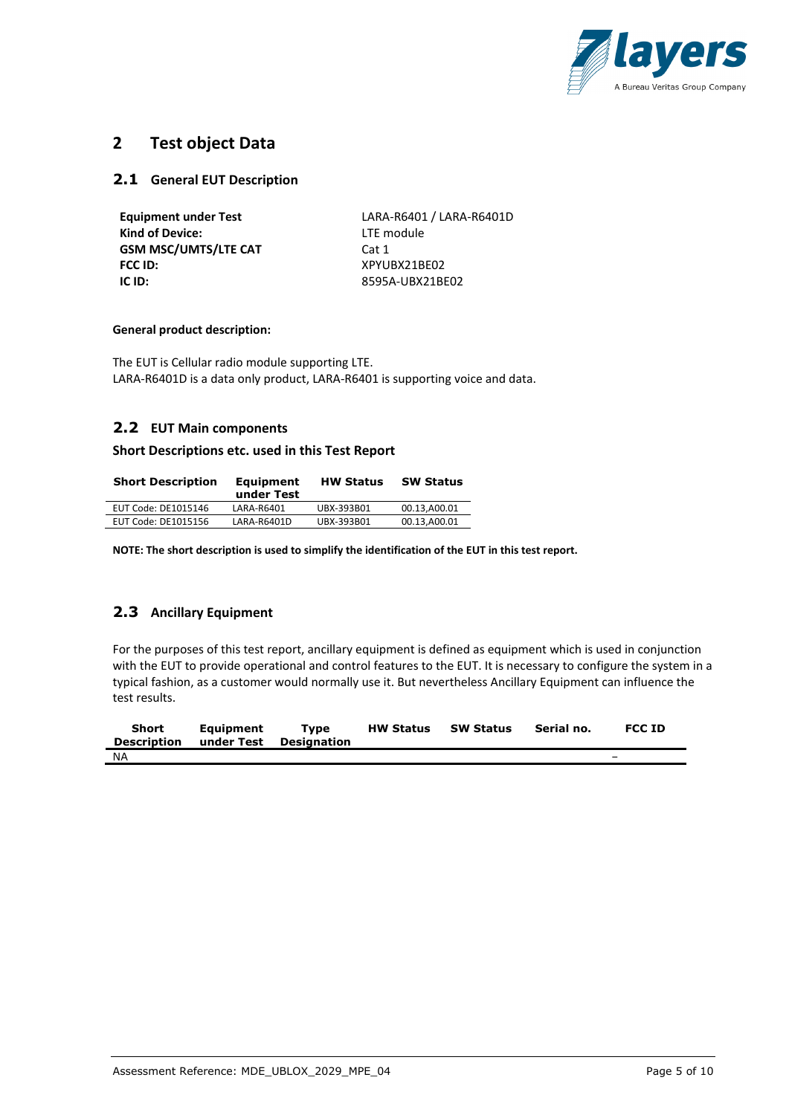

### **2 Test object Data**

#### **2.1 General EUT Description**

| <b>Equipment under Test</b> | LARA-R6401 / LARA-R6401D |
|-----------------------------|--------------------------|
| <b>Kind of Device:</b>      | LTE module               |
| <b>GSM MSC/UMTS/LTE CAT</b> | Cat 1                    |
| <b>FCC ID:</b>              | XPYUBX21BE02             |
| IC ID:                      | 8595A-UBX21BE02          |
|                             |                          |

#### **General product description:**

The EUT is Cellular radio module supporting LTE. LARA-R6401D is a data only product, LARA-R6401 is supporting voice and data.

#### **2.2 EUT Main components**

#### **Short Descriptions etc. used in this Test Report**

| <b>Short Description</b> | <b>Equipment</b><br>under Test | <b>HW Status</b> | <b>SW Status</b> |
|--------------------------|--------------------------------|------------------|------------------|
| EUT Code: DE1015146      | LARA-R6401                     | UBX-393B01       | 00.13.A00.01     |
| EUT Code: DE1015156      | LARA-R6401D                    | UBX-393B01       | 00.13,A00.01     |

**NOTE: The short description is used to simplify the identification of the EUT in this test report.**

#### **2.3 Ancillary Equipment**

For the purposes of this test report, ancillary equipment is defined as equipment which is used in conjunction with the EUT to provide operational and control features to the EUT. It is necessary to configure the system in a typical fashion, as a customer would normally use it. But nevertheless Ancillary Equipment can influence the test results.

| <b>Short</b><br>Description | Eauipment<br>under Test Designation | Tvpe | <b>HW Status</b> | <b>SW Status</b> | Serial no. | <b>FCC ID</b>            |
|-----------------------------|-------------------------------------|------|------------------|------------------|------------|--------------------------|
| <b>NA</b>                   |                                     |      |                  |                  |            | $\overline{\phantom{0}}$ |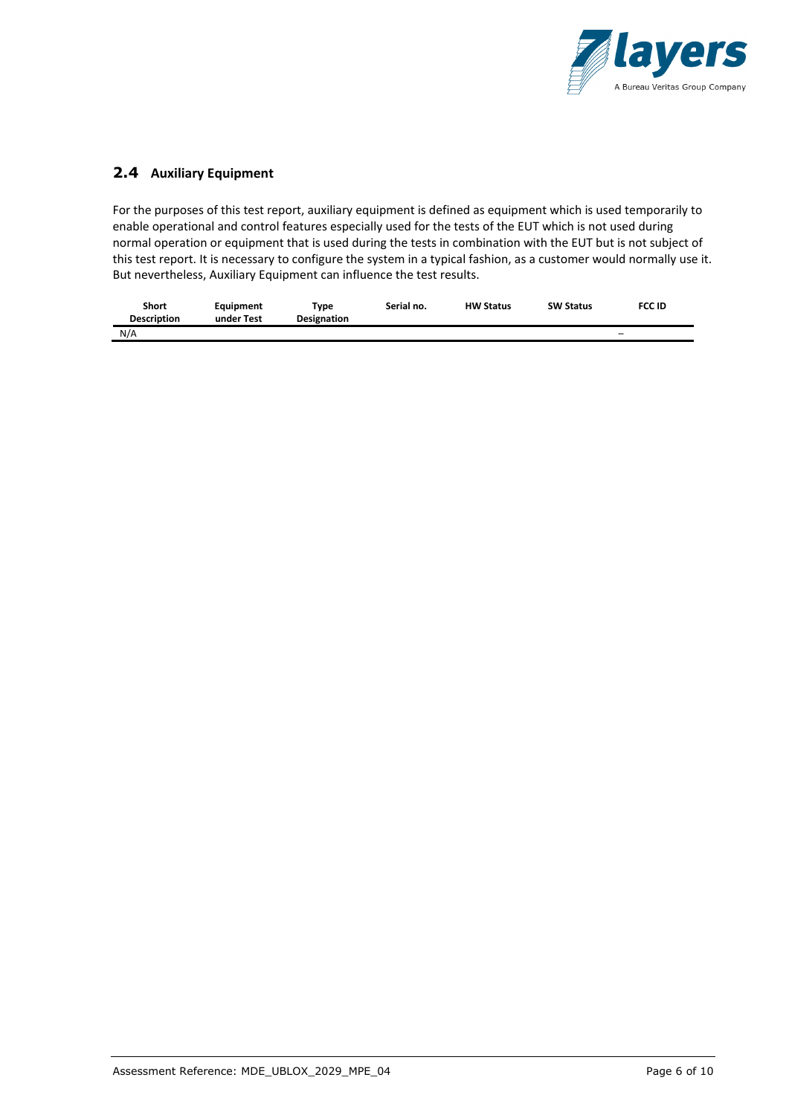

#### **2.4 Auxiliary Equipment**

For the purposes of this test report, auxiliary equipment is defined as equipment which is used temporarily to enable operational and control features especially used for the tests of the EUT which is not used during normal operation or equipment that is used during the tests in combination with the EUT but is not subject of this test report. It is necessary to configure the system in a typical fashion, as a customer would normally use it. But nevertheless, Auxiliary Equipment can influence the test results.

| Short              | Eauipment  | Type               | Serial no. | <b>HW Status</b> | <b>SW Status</b> | <b>FCC ID</b>            |
|--------------------|------------|--------------------|------------|------------------|------------------|--------------------------|
| <b>Description</b> | under Test | <b>Designation</b> |            |                  |                  |                          |
| N/A                |            |                    |            |                  |                  | $\overline{\phantom{m}}$ |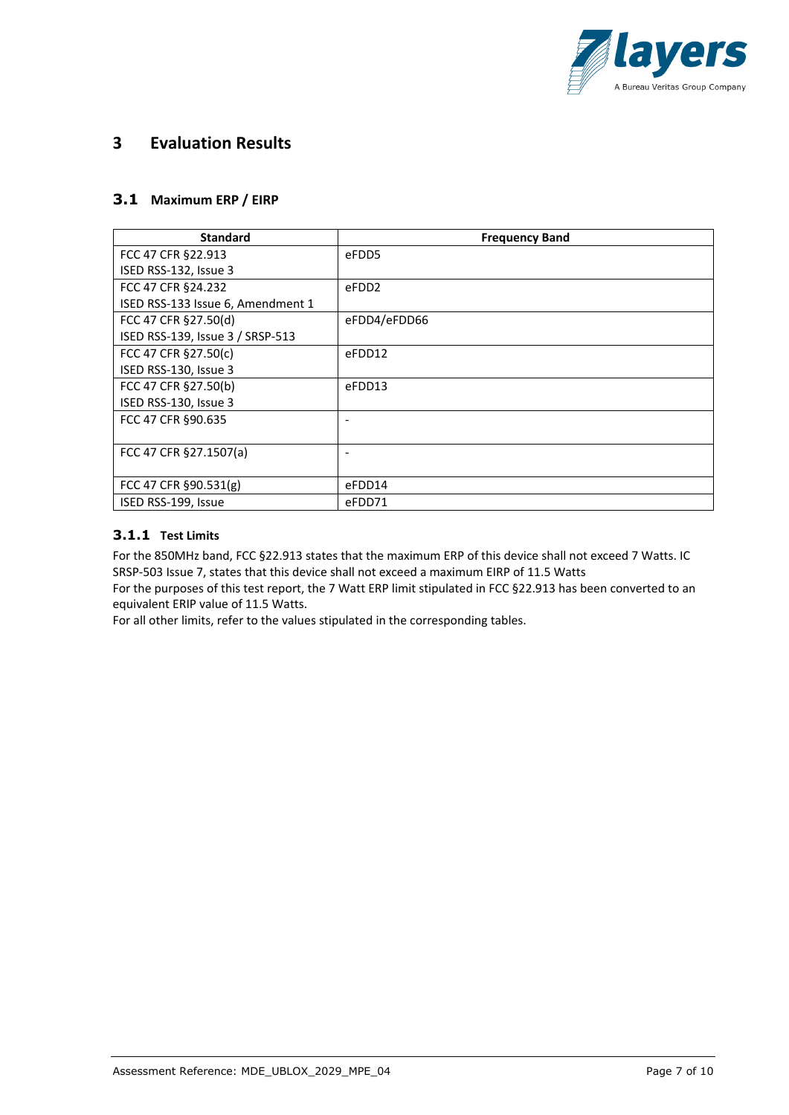

### **3 Evaluation Results**

#### **3.1 Maximum ERP / EIRP**

| <b>Standard</b>                   | <b>Frequency Band</b> |
|-----------------------------------|-----------------------|
| FCC 47 CFR §22.913                | eFDD5                 |
| ISED RSS-132, Issue 3             |                       |
| FCC 47 CFR §24.232                | eFDD <sub>2</sub>     |
| ISED RSS-133 Issue 6, Amendment 1 |                       |
| FCC 47 CFR §27.50(d)              | eFDD4/eFDD66          |
| ISED RSS-139, Issue 3 / SRSP-513  |                       |
| FCC 47 CFR §27.50(c)              | eFDD12                |
| ISED RSS-130, Issue 3             |                       |
| FCC 47 CFR §27.50(b)              | eFDD13                |
| ISED RSS-130, Issue 3             |                       |
| FCC 47 CFR §90.635                |                       |
|                                   |                       |
| FCC 47 CFR §27.1507(a)            |                       |
|                                   |                       |
| FCC 47 CFR §90.531(g)             | eFDD14                |
| ISED RSS-199, Issue               | eFDD71                |

#### **3.1.1 Test Limits**

For the 850MHz band, FCC §22.913 states that the maximum ERP of this device shall not exceed 7 Watts. IC SRSP-503 Issue 7, states that this device shall not exceed a maximum EIRP of 11.5 Watts

For the purposes of this test report, the 7 Watt ERP limit stipulated in FCC §22.913 has been converted to an equivalent ERIP value of 11.5 Watts.

For all other limits, refer to the values stipulated in the corresponding tables.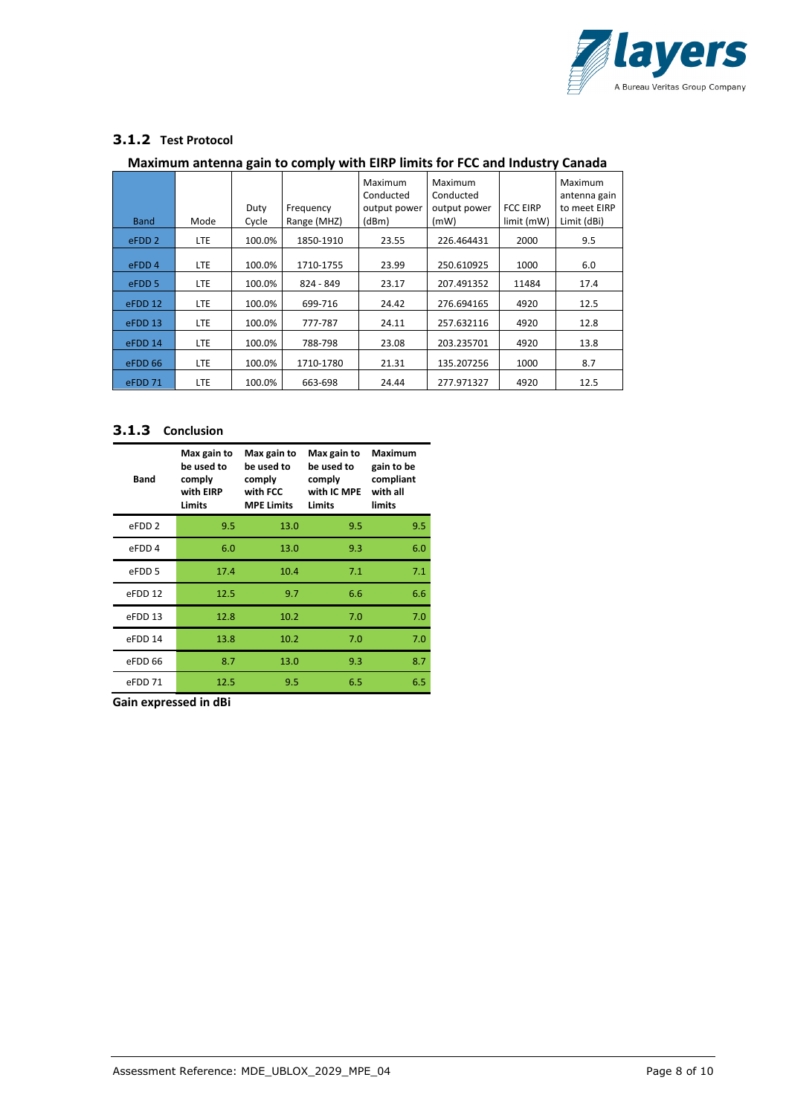

#### **3.1.2 Test Protocol**

#### **Maximum antenna gain to comply with EIRP limits for FCC and Industry Canada**

| <b>Band</b>       | Mode       | Duty<br>Cycle | Frequency<br>Range (MHZ) | Maximum<br>Conducted<br>output power<br>(dBm) | Maximum<br>Conducted<br>output power<br>(mW) | <b>FCC EIRP</b><br>limit (mW) | Maximum<br>antenna gain<br>to meet EIRP<br>Limit (dBi) |
|-------------------|------------|---------------|--------------------------|-----------------------------------------------|----------------------------------------------|-------------------------------|--------------------------------------------------------|
| eFDD <sub>2</sub> | LTE.       | 100.0%        | 1850-1910                | 23.55                                         | 226.464431                                   | 2000                          | 9.5                                                    |
| eFDD <sub>4</sub> | LTE.       | 100.0%        | 1710-1755                | 23.99                                         | 250.610925                                   | 1000                          | 6.0                                                    |
| eFDD <sub>5</sub> | LTE.       | 100.0%        | 824 - 849                | 23.17                                         | 207.491352                                   | 11484                         | 17.4                                                   |
| eFDD 12           | LTE.       | 100.0%        | 699-716                  | 24.42                                         | 276.694165                                   | 4920                          | 12.5                                                   |
| eFDD 13           | <b>LTE</b> | 100.0%        | 777-787                  | 24.11                                         | 257.632116                                   | 4920                          | 12.8                                                   |
| eFDD 14           | LTE.       | 100.0%        | 788-798                  | 23.08                                         | 203.235701                                   | 4920                          | 13.8                                                   |
| eFDD 66           | LTE.       | 100.0%        | 1710-1780                | 21.31                                         | 135.207256                                   | 1000                          | 8.7                                                    |
| eFDD 71           | LTE.       | 100.0%        | 663-698                  | 24.44                                         | 277.971327                                   | 4920                          | 12.5                                                   |

#### **3.1.3 Conclusion**

| <b>Band</b>        | Max gain to<br>be used to<br>comply<br>with EIRP<br>Limits | Max gain to<br>be used to<br>comply<br>with FCC<br><b>MPE Limits</b> | Max gain to<br>be used to<br>comply<br>with IC MPE<br>Limits | <b>Maximum</b><br>gain to be<br>compliant<br>with all<br>limits |
|--------------------|------------------------------------------------------------|----------------------------------------------------------------------|--------------------------------------------------------------|-----------------------------------------------------------------|
| eFDD <sub>2</sub>  | 9.5                                                        | 13.0                                                                 | 9.5                                                          | 9.5                                                             |
| eFDD <sub>4</sub>  | 6.0                                                        | 13.0                                                                 | 9.3                                                          | 6.0                                                             |
| eFDD 5             | 17.4                                                       | 10.4                                                                 | 7.1                                                          | 7.1                                                             |
| eFDD <sub>12</sub> | 12.5                                                       | 9.7                                                                  | 6.6                                                          | 6.6                                                             |
| eFDD 13            | 12.8                                                       | 10.2                                                                 | 7.0                                                          | 7.0                                                             |
| eFDD 14            | 13.8                                                       | 10.2                                                                 | 7.0                                                          | 7.0                                                             |
| eFDD 66            | 8.7                                                        | 13.0                                                                 | 9.3                                                          | 8.7                                                             |
| eFDD 71            | 12.5                                                       | 9.5                                                                  | 6.5                                                          | 6.5                                                             |

**Gain expressed in dBi**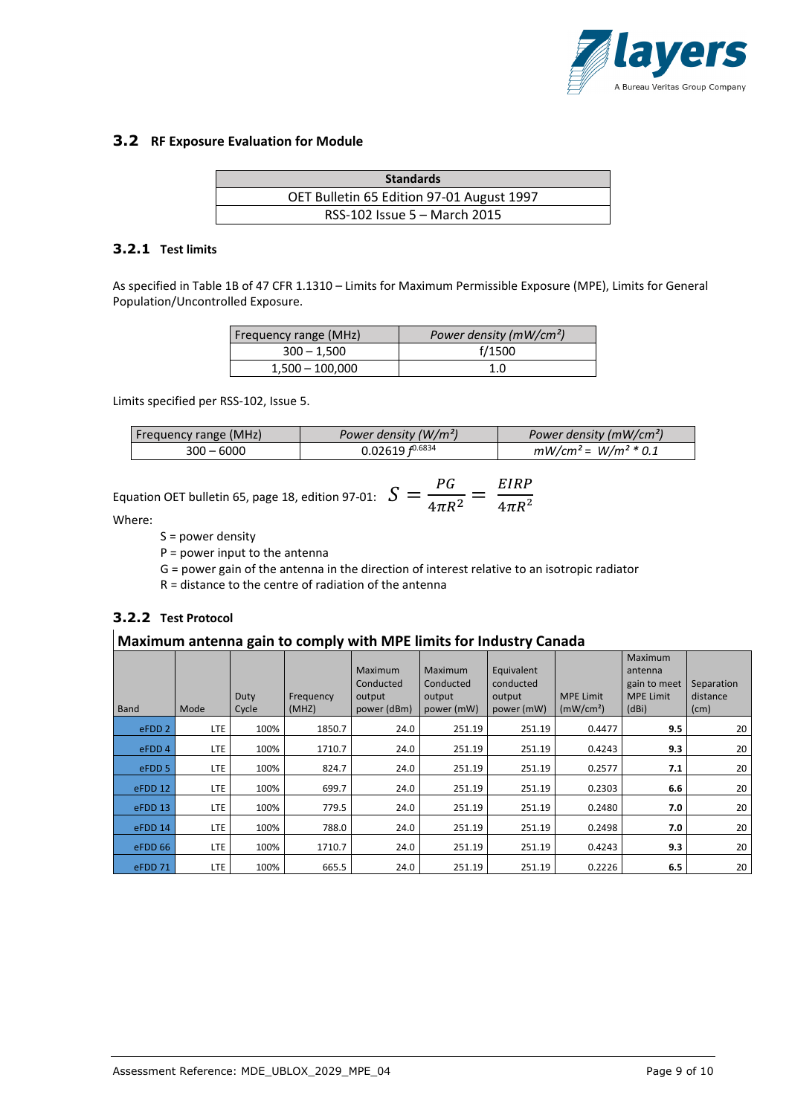

#### **3.2 RF Exposure Evaluation for Module**

| <b>Standards</b>                          |  |
|-------------------------------------------|--|
| OET Bulletin 65 Edition 97-01 August 1997 |  |
| RSS-102 Issue 5 - March 2015              |  |

#### **3.2.1 Test limits**

As specified in Table 1B of 47 CFR 1.1310 – Limits for Maximum Permissible Exposure (MPE), Limits for General Population/Uncontrolled Exposure.

| Frequency range (MHz) | Power density (mW/cm <sup>2</sup> ) |
|-----------------------|-------------------------------------|
| $300 - 1,500$         | f/1500                              |
| $1,500 - 100,000$     | 1.0                                 |

Limits specified per RSS-102, Issue 5.

| Frequency range (MHz) | Power density $(W/m^2)$ | Power density ( $mW/cm2$ ) |
|-----------------------|-------------------------|----------------------------|
| $300 - 6000$          | 0.02619 $f^{0.6834}$    | $mW/cm^2$ = $W/m^2 * 0.1$  |

Equation OFT bulletin 65, page 18, edition 97-01: 
$$
S = \frac{PG}{4\pi R^2} = \frac{EIRP}{4\pi R^2}
$$

Where:

S = power density

 $P = power input to the antenna$ 

G = power gain of the antenna in the direction of interest relative to an isotropic radiator

R = distance to the centre of radiation of the antenna

#### **3.2.2 Test Protocol**

#### **Maximum antenna gain to comply with MPE limits for Industry Canada**

| <b>Band</b>       | Mode       | Duty<br>Cycle | Frequency<br>(MHZ) | Maximum<br>Conducted<br>output<br>power (dBm) | Maximum<br>Conducted<br>output<br>power (mW) | Equivalent<br>conducted<br>output<br>power (mW) | <b>MPE Limit</b><br>(mW/cm <sup>2</sup> ) | Maximum<br>antenna<br>gain to meet<br><b>MPE Limit</b><br>(dBi) | Separation<br>distance<br>(cm) |
|-------------------|------------|---------------|--------------------|-----------------------------------------------|----------------------------------------------|-------------------------------------------------|-------------------------------------------|-----------------------------------------------------------------|--------------------------------|
| eFDD <sub>2</sub> | <b>LTE</b> | 100%          | 1850.7             | 24.0                                          | 251.19                                       | 251.19                                          | 0.4477                                    | 9.5                                                             | 20                             |
| eFDD <sub>4</sub> | LTE        | 100%          | 1710.7             | 24.0                                          | 251.19                                       | 251.19                                          | 0.4243                                    | 9.3                                                             | 20                             |
| eFDD <sub>5</sub> | LTE        | 100%          | 824.7              | 24.0                                          | 251.19                                       | 251.19                                          | 0.2577                                    | 7.1                                                             | 20                             |
| eFDD 12           | <b>LTE</b> | 100%          | 699.7              | 24.0                                          | 251.19                                       | 251.19                                          | 0.2303                                    | 6.6                                                             | 20                             |
| eFDD 13           | LTE        | 100%          | 779.5              | 24.0                                          | 251.19                                       | 251.19                                          | 0.2480                                    | 7.0                                                             | 20                             |
| eFDD 14           | <b>LTE</b> | 100%          | 788.0              | 24.0                                          | 251.19                                       | 251.19                                          | 0.2498                                    | 7.0                                                             | 20                             |
| eFDD 66           | <b>LTE</b> | 100%          | 1710.7             | 24.0                                          | 251.19                                       | 251.19                                          | 0.4243                                    | 9.3                                                             | 20                             |
| eFDD 71           | <b>LTE</b> | 100%          | 665.5              | 24.0                                          | 251.19                                       | 251.19                                          | 0.2226                                    | 6.5                                                             | 20                             |